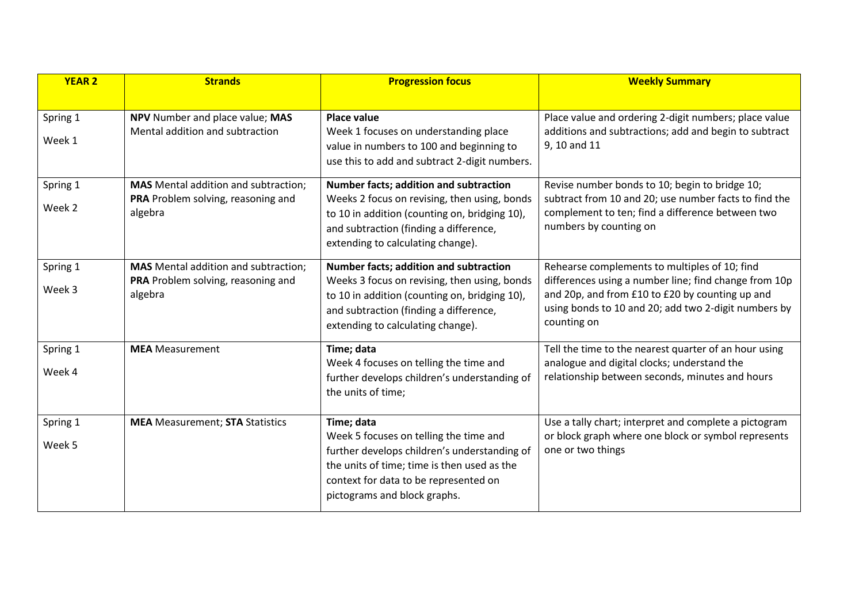| <b>YEAR 2</b> | <b>Strands</b>                                                                    | <b>Progression focus</b>                                                                                                                                                                                       | <b>Weekly Summary</b>                                                                                                  |
|---------------|-----------------------------------------------------------------------------------|----------------------------------------------------------------------------------------------------------------------------------------------------------------------------------------------------------------|------------------------------------------------------------------------------------------------------------------------|
| Spring 1      | NPV Number and place value; MAS                                                   | <b>Place value</b>                                                                                                                                                                                             | Place value and ordering 2-digit numbers; place value                                                                  |
| Week 1        | Mental addition and subtraction                                                   | Week 1 focuses on understanding place<br>value in numbers to 100 and beginning to<br>use this to add and subtract 2-digit numbers.                                                                             | additions and subtractions; add and begin to subtract<br>9, 10 and 11                                                  |
| Spring 1      | <b>MAS</b> Mental addition and subtraction;<br>PRA Problem solving, reasoning and | Number facts; addition and subtraction<br>Weeks 2 focus on revising, then using, bonds                                                                                                                         | Revise number bonds to 10; begin to bridge 10;<br>subtract from 10 and 20; use number facts to find the                |
| Week 2        | algebra                                                                           | to 10 in addition (counting on, bridging 10),<br>and subtraction (finding a difference,<br>extending to calculating change).                                                                                   | complement to ten; find a difference between two<br>numbers by counting on                                             |
| Spring 1      | <b>MAS</b> Mental addition and subtraction;<br>PRA Problem solving, reasoning and | Number facts; addition and subtraction<br>Weeks 3 focus on revising, then using, bonds                                                                                                                         | Rehearse complements to multiples of 10; find<br>differences using a number line; find change from 10p                 |
| Week 3        | algebra                                                                           | to 10 in addition (counting on, bridging 10),<br>and subtraction (finding a difference,<br>extending to calculating change).                                                                                   | and 20p, and from £10 to £20 by counting up and<br>using bonds to 10 and 20; add two 2-digit numbers by<br>counting on |
| Spring 1      | <b>MEA</b> Measurement                                                            | Time; data<br>Week 4 focuses on telling the time and                                                                                                                                                           | Tell the time to the nearest quarter of an hour using<br>analogue and digital clocks; understand the                   |
| Week 4        |                                                                                   | further develops children's understanding of<br>the units of time;                                                                                                                                             | relationship between seconds, minutes and hours                                                                        |
| Spring 1      | <b>MEA</b> Measurement; <b>STA</b> Statistics                                     | Time; data                                                                                                                                                                                                     | Use a tally chart; interpret and complete a pictogram                                                                  |
| Week 5        |                                                                                   | Week 5 focuses on telling the time and<br>further develops children's understanding of<br>the units of time; time is then used as the<br>context for data to be represented on<br>pictograms and block graphs. | or block graph where one block or symbol represents<br>one or two things                                               |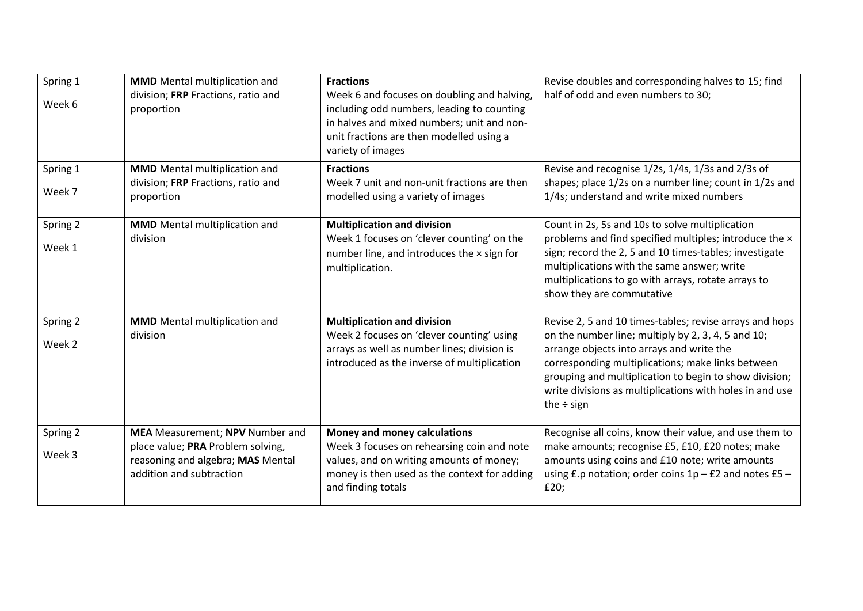| Spring 1<br>Week 6 | <b>MMD</b> Mental multiplication and<br>division; FRP Fractions, ratio and<br>proportion           | <b>Fractions</b><br>Week 6 and focuses on doubling and halving,<br>including odd numbers, leading to counting<br>in halves and mixed numbers; unit and non-<br>unit fractions are then modelled using a<br>variety of images | Revise doubles and corresponding halves to 15; find<br>half of odd and even numbers to 30;                                                                                                                                                                                                    |
|--------------------|----------------------------------------------------------------------------------------------------|------------------------------------------------------------------------------------------------------------------------------------------------------------------------------------------------------------------------------|-----------------------------------------------------------------------------------------------------------------------------------------------------------------------------------------------------------------------------------------------------------------------------------------------|
| Spring 1           | <b>MMD</b> Mental multiplication and<br>division; FRP Fractions, ratio and                         | <b>Fractions</b><br>Week 7 unit and non-unit fractions are then                                                                                                                                                              | Revise and recognise 1/2s, 1/4s, 1/3s and 2/3s of<br>shapes; place 1/2s on a number line; count in 1/2s and                                                                                                                                                                                   |
| Week 7             | proportion                                                                                         | modelled using a variety of images                                                                                                                                                                                           | 1/4s; understand and write mixed numbers                                                                                                                                                                                                                                                      |
| Spring 2           | <b>MMD</b> Mental multiplication and                                                               | <b>Multiplication and division</b>                                                                                                                                                                                           | Count in 2s, 5s and 10s to solve multiplication                                                                                                                                                                                                                                               |
| Week 1             | division                                                                                           | Week 1 focuses on 'clever counting' on the<br>number line, and introduces the x sign for<br>multiplication.                                                                                                                  | problems and find specified multiples; introduce the x<br>sign; record the 2, 5 and 10 times-tables; investigate<br>multiplications with the same answer; write<br>multiplications to go with arrays, rotate arrays to<br>show they are commutative                                           |
| Spring 2           | <b>MMD</b> Mental multiplication and                                                               | <b>Multiplication and division</b>                                                                                                                                                                                           | Revise 2, 5 and 10 times-tables; revise arrays and hops                                                                                                                                                                                                                                       |
| Week 2             | division                                                                                           | Week 2 focuses on 'clever counting' using<br>arrays as well as number lines; division is<br>introduced as the inverse of multiplication                                                                                      | on the number line; multiply by 2, 3, 4, 5 and 10;<br>arrange objects into arrays and write the<br>corresponding multiplications; make links between<br>grouping and multiplication to begin to show division;<br>write divisions as multiplications with holes in and use<br>the $\div$ sign |
| Spring 2           | <b>MEA</b> Measurement; NPV Number and                                                             | Money and money calculations                                                                                                                                                                                                 | Recognise all coins, know their value, and use them to                                                                                                                                                                                                                                        |
| Week 3             | place value; PRA Problem solving,<br>reasoning and algebra; MAS Mental<br>addition and subtraction | Week 3 focuses on rehearsing coin and note<br>values, and on writing amounts of money;<br>money is then used as the context for adding<br>and finding totals                                                                 | make amounts; recognise £5, £10, £20 notes; make<br>amounts using coins and £10 note; write amounts<br>using £.p notation; order coins $1p - E2$ and notes £5 -<br>£20;                                                                                                                       |